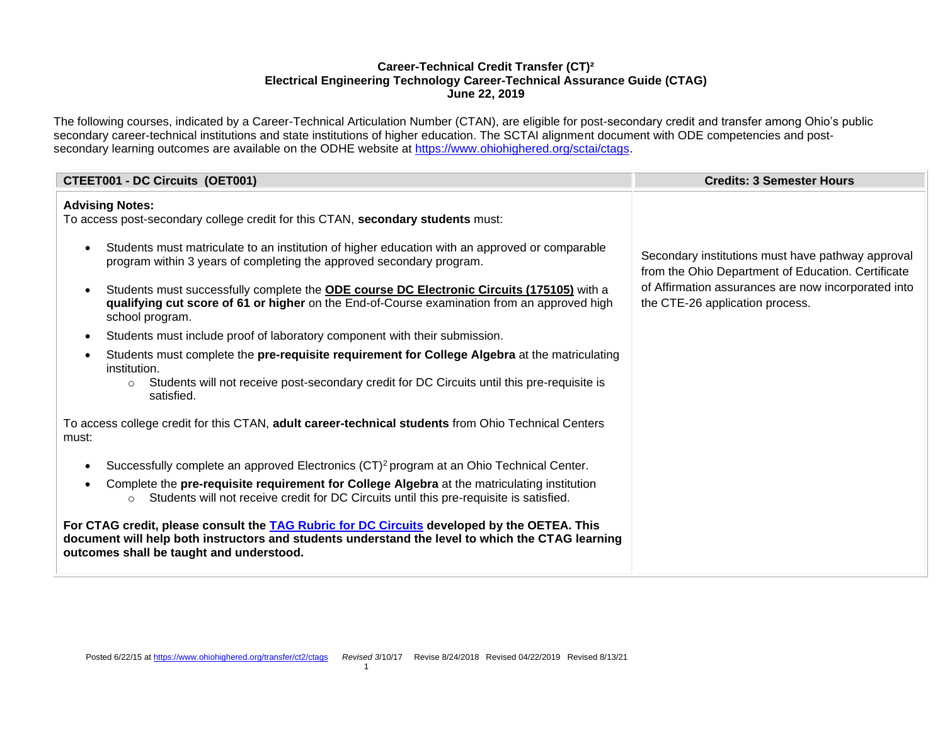## **Career-Technical Credit Transfer (CT)² Electrical Engineering Technology Career-Technical Assurance Guide (CTAG) June 22, 2019**

The following courses, indicated by a Career-Technical Articulation Number (CTAN), are eligible for post-secondary credit and transfer among Ohio's public secondary career-technical institutions and state institutions of higher education. The SCTAI alignment document with ODE competencies and postsecondary learning outcomes are available on the ODHE website at [https://www.ohiohighered.org/sctai/ctags.](https://www.ohiohighered.org/sctai/ctags)

| <b>CTEET001 - DC Circuits (OET001)</b>                                                                                                                                                                                                      | <b>Credits: 3 Semester Hours</b>                                                                        |
|---------------------------------------------------------------------------------------------------------------------------------------------------------------------------------------------------------------------------------------------|---------------------------------------------------------------------------------------------------------|
| <b>Advising Notes:</b><br>To access post-secondary college credit for this CTAN, secondary students must:                                                                                                                                   |                                                                                                         |
| Students must matriculate to an institution of higher education with an approved or comparable<br>program within 3 years of completing the approved secondary program.                                                                      | Secondary institutions must have pathway approval<br>from the Ohio Department of Education. Certificate |
| Students must successfully complete the ODE course DC Electronic Circuits (175105) with a<br>qualifying cut score of 61 or higher on the End-of-Course examination from an approved high<br>school program.                                 | of Affirmation assurances are now incorporated into<br>the CTE-26 application process.                  |
| Students must include proof of laboratory component with their submission.<br>$\bullet$                                                                                                                                                     |                                                                                                         |
| Students must complete the pre-requisite requirement for College Algebra at the matriculating<br>institution.<br>Students will not receive post-secondary credit for DC Circuits until this pre-requisite is<br>$\circ$<br>satisfied.       |                                                                                                         |
| To access college credit for this CTAN, adult career-technical students from Ohio Technical Centers<br>must:                                                                                                                                |                                                                                                         |
| Successfully complete an approved Electronics (CT) <sup>2</sup> program at an Ohio Technical Center.<br>$\bullet$                                                                                                                           |                                                                                                         |
| Complete the pre-requisite requirement for College Algebra at the matriculating institution<br>Students will not receive credit for DC Circuits until this pre-requisite is satisfied.<br>$\circ$                                           |                                                                                                         |
| For CTAG credit, please consult the TAG Rubric for DC Circuits developed by the OETEA. This<br>document will help both instructors and students understand the level to which the CTAG learning<br>outcomes shall be taught and understood. |                                                                                                         |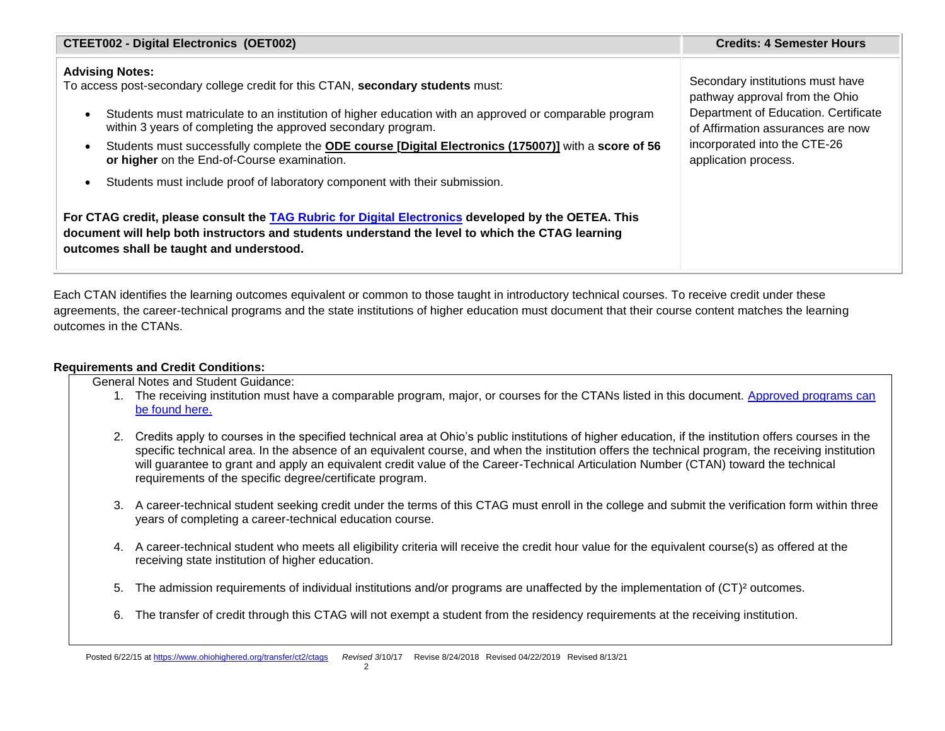| <b>CTEET002 - Digital Electronics (OET002)</b>                                                                                                                                                                                                      | <b>Credits: 4 Semester Hours</b>     |
|-----------------------------------------------------------------------------------------------------------------------------------------------------------------------------------------------------------------------------------------------------|--------------------------------------|
| <b>Advising Notes:</b>                                                                                                                                                                                                                              | Secondary institutions must have     |
| To access post-secondary college credit for this CTAN, secondary students must:                                                                                                                                                                     | pathway approval from the Ohio       |
| Students must matriculate to an institution of higher education with an approved or comparable program                                                                                                                                              | Department of Education. Certificate |
| within 3 years of completing the approved secondary program.                                                                                                                                                                                        | of Affirmation assurances are now    |
| Students must successfully complete the ODE course [Digital Electronics (175007)] with a score of 56                                                                                                                                                | incorporated into the CTE-26         |
| or higher on the End-of-Course examination.                                                                                                                                                                                                         | application process.                 |
| Students must include proof of laboratory component with their submission.                                                                                                                                                                          |                                      |
| For CTAG credit, please consult the TAG Rubric for Digital Electronics developed by the OETEA. This<br>document will help both instructors and students understand the level to which the CTAG learning<br>outcomes shall be taught and understood. |                                      |

Each CTAN identifies the learning outcomes equivalent or common to those taught in introductory technical courses. To receive credit under these agreements, the career-technical programs and the state institutions of higher education must document that their course content matches the learning outcomes in the CTANs.

## **Requirements and Credit Conditions:**

General Notes and Student Guidance:

- 1. The receiving institution must have a comparable program, major, or courses for the CTANs listed in this document. [Approved programs can](https://reports-cems.transfercredit.ohio.gov/ap/9?16846734657402::NO:9::)  [be found here.](https://reports-cems.transfercredit.ohio.gov/ap/9?16846734657402::NO:9::)
- 2. Credits apply to courses in the specified technical area at Ohio's public institutions of higher education, if the institution offers courses in the specific technical area. In the absence of an equivalent course, and when the institution offers the technical program, the receiving institution will guarantee to grant and apply an equivalent credit value of the Career-Technical Articulation Number (CTAN) toward the technical requirements of the specific degree/certificate program.
- 3. A career-technical student seeking credit under the terms of this CTAG must enroll in the college and submit the verification form within three years of completing a career-technical education course.
- 4. A career-technical student who meets all eligibility criteria will receive the credit hour value for the equivalent course(s) as offered at the receiving state institution of higher education.
- 5. The admission requirements of individual institutions and/or programs are unaffected by the implementation of (CT)² outcomes.
- 6. The transfer of credit through this CTAG will not exempt a student from the residency requirements at the receiving institution.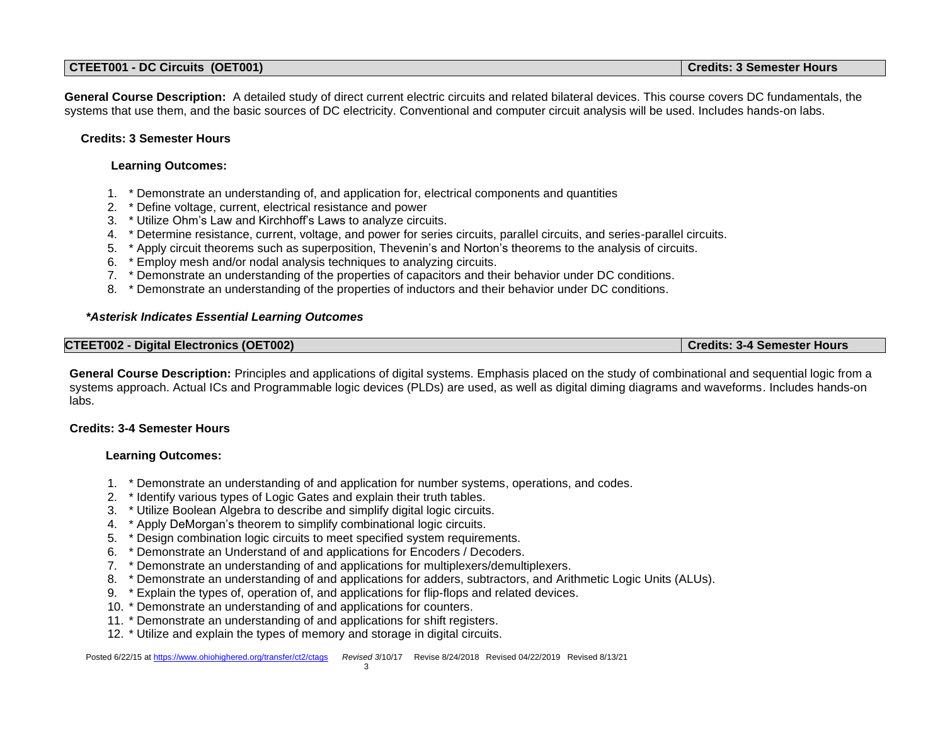| <b>Credits: 3 Semester Hours</b><br>CTEET001 - DC Circuits (OET001) |
|---------------------------------------------------------------------|
|---------------------------------------------------------------------|

**General Course Description:** A detailed study of direct current electric circuits and related bilateral devices. This course covers DC fundamentals, the systems that use them, and the basic sources of DC electricity. Conventional and computer circuit analysis will be used. Includes hands-on labs.

## **Credits: 3 Semester Hours**

## **Learning Outcomes:**

- 1. \* Demonstrate an understanding of, and application for, electrical components and quantities
- 2. \* Define voltage, current, electrical resistance and power
- 3. \* Utilize Ohm's Law and Kirchhoff's Laws to analyze circuits.
- 4. \* Determine resistance, current, voltage, and power for series circuits, parallel circuits, and series-parallel circuits.
- 5. \* Apply circuit theorems such as superposition, Thevenin's and Norton's theorems to the analysis of circuits.
- 6. \* Employ mesh and/or nodal analysis techniques to analyzing circuits.
- 7. \* Demonstrate an understanding of the properties of capacitors and their behavior under DC conditions.
- 8. \* Demonstrate an understanding of the properties of inductors and their behavior under DC conditions.

## *\*Asterisk Indicates Essential Learning Outcomes*

| <b>CTEET002 - Digital Electronics (OET002)</b> | Credits: 3-4 Semester Hours |
|------------------------------------------------|-----------------------------|
|------------------------------------------------|-----------------------------|

**General Course Description:** Principles and applications of digital systems. Emphasis placed on the study of combinational and sequential logic from a systems approach. Actual ICs and Programmable logic devices (PLDs) are used, as well as digital diming diagrams and waveforms. Includes hands-on labs.

#### **Credits: 3-4 Semester Hours**

# **Learning Outcomes:**

- 1. \* Demonstrate an understanding of and application for number systems, operations, and codes.
- 2. \* Identify various types of Logic Gates and explain their truth tables.
- 3. \* Utilize Boolean Algebra to describe and simplify digital logic circuits.
- 4. \* Apply DeMorgan's theorem to simplify combinational logic circuits.
- 5. \* Design combination logic circuits to meet specified system requirements.
- 6. \* Demonstrate an Understand of and applications for Encoders / Decoders.
- 7. \* Demonstrate an understanding of and applications for multiplexers/demultiplexers.
- 8. \* Demonstrate an understanding of and applications for adders, subtractors, and Arithmetic Logic Units (ALUs).
- 9. \* Explain the types of, operation of, and applications for flip-flops and related devices.
- 10. \* Demonstrate an understanding of and applications for counters.
- 11. \* Demonstrate an understanding of and applications for shift registers.
- 12. \* Utilize and explain the types of memory and storage in digital circuits.

Posted 6/22/15 at<https://www.ohiohighered.org/transfer/ct2/ctags>*Revised 3*/10/17 Revise 8/24/2018 Revised 04/22/2019 Revised 8/13/21